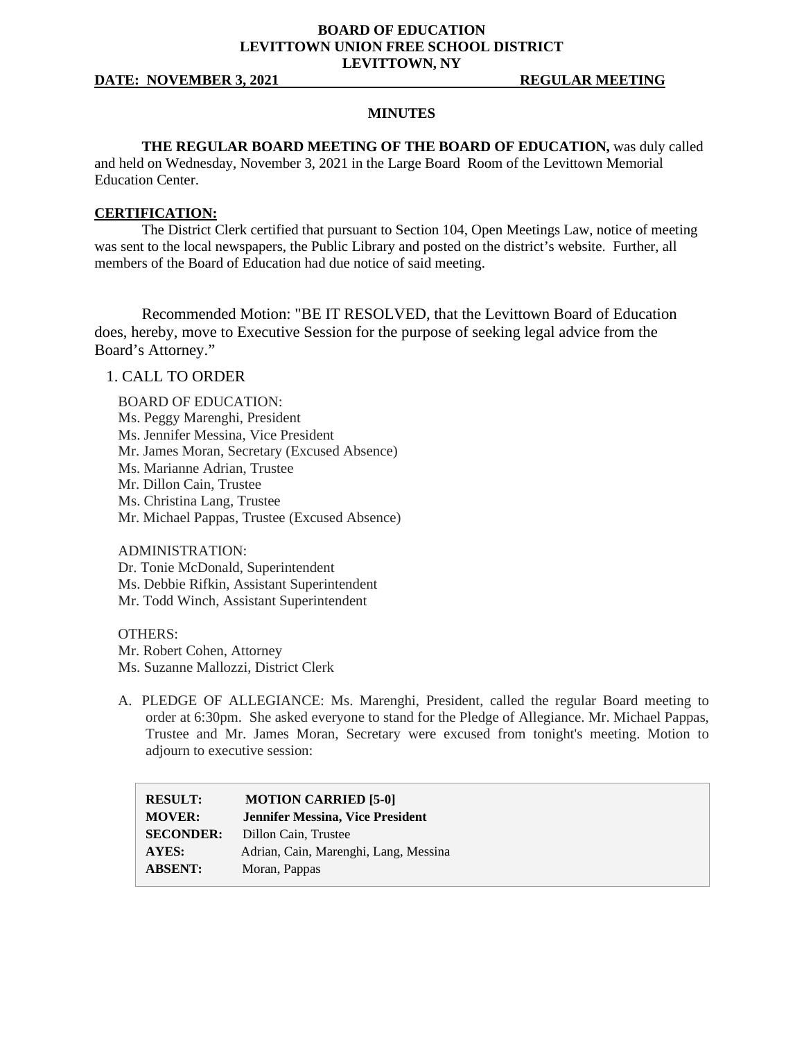#### **BOARD OF EDUCATION LEVITTOWN UNION FREE SCHOOL DISTRICT LEVITTOWN, NY**

#### **DATE: NOVEMBER 3, 2021 REGULAR MEETING**

#### **MINUTES**

#### **THE REGULAR BOARD MEETING OF THE BOARD OF EDUCATION,** was duly called

and held on Wednesday, November 3, 2021 in the Large Board Room of the Levittown Memorial Education Center.

#### **CERTIFICATION:**

The District Clerk certified that pursuant to Section 104, Open Meetings Law, notice of meeting was sent to the local newspapers, the Public Library and posted on the district's website. Further, all members of the Board of Education had due notice of said meeting.

Recommended Motion: "BE IT RESOLVED, that the Levittown Board of Education does, hereby, move to Executive Session for the purpose of seeking legal advice from the Board's Attorney."

#### 1. CALL TO ORDER

BOARD OF EDUCATION: Ms. Peggy Marenghi, President Ms. Jennifer Messina, Vice President Mr. James Moran, Secretary (Excused Absence) Ms. Marianne Adrian, Trustee Mr. Dillon Cain, Trustee Ms. Christina Lang, Trustee Mr. Michael Pappas, Trustee (Excused Absence)

#### ADMINISTRATION:

Dr. Tonie McDonald, Superintendent Ms. Debbie Rifkin, Assistant Superintendent Mr. Todd Winch, Assistant Superintendent

OTHERS: Mr. Robert Cohen, Attorney Ms. Suzanne Mallozzi, District Clerk

A. PLEDGE OF ALLEGIANCE: Ms. Marenghi, President, called the regular Board meeting to order at 6:30pm. She asked everyone to stand for the Pledge of Allegiance. Mr. Michael Pappas, Trustee and Mr. James Moran, Secretary were excused from tonight's meeting. Motion to adjourn to executive session:

| <b>RESULT:</b>   | <b>MOTION CARRIED [5-0]</b>             |
|------------------|-----------------------------------------|
| <b>MOVER:</b>    | <b>Jennifer Messina, Vice President</b> |
| <b>SECONDER:</b> | Dillon Cain, Trustee                    |
| AYES:            | Adrian, Cain, Marenghi, Lang, Messina   |
| <b>ABSENT:</b>   | Moran, Pappas                           |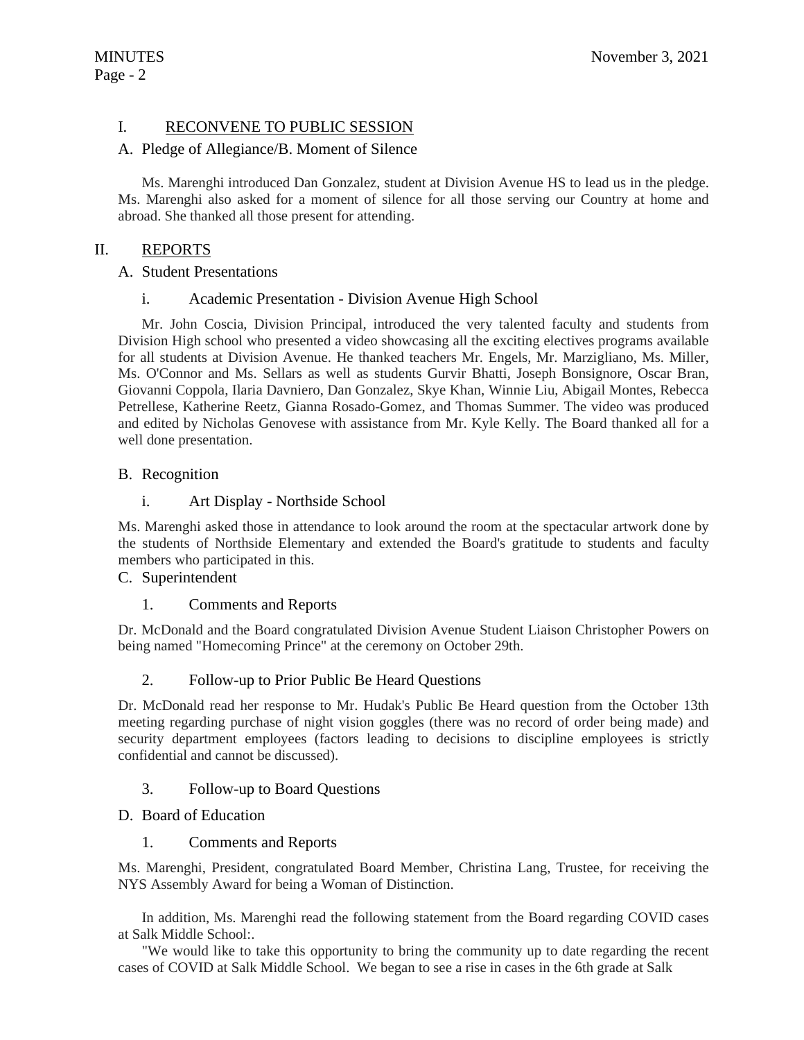# I. RECONVENE TO PUBLIC SESSION

## A. Pledge of Allegiance/B. Moment of Silence

Ms. Marenghi introduced Dan Gonzalez, student at Division Avenue HS to lead us in the pledge. Ms. Marenghi also asked for a moment of silence for all those serving our Country at home and abroad. She thanked all those present for attending.

# II. REPORTS

### A. Student Presentations

### i. Academic Presentation - Division Avenue High School

Mr. John Coscia, Division Principal, introduced the very talented faculty and students from Division High school who presented a video showcasing all the exciting electives programs available for all students at Division Avenue. He thanked teachers Mr. Engels, Mr. Marzigliano, Ms. Miller, Ms. O'Connor and Ms. Sellars as well as students Gurvir Bhatti, Joseph Bonsignore, Oscar Bran, Giovanni Coppola, Ilaria Davniero, Dan Gonzalez, Skye Khan, Winnie Liu, Abigail Montes, Rebecca Petrellese, Katherine Reetz, Gianna Rosado-Gomez, and Thomas Summer. The video was produced and edited by Nicholas Genovese with assistance from Mr. Kyle Kelly. The Board thanked all for a well done presentation.

### B. Recognition

# i. Art Display - Northside School

Ms. Marenghi asked those in attendance to look around the room at the spectacular artwork done by the students of Northside Elementary and extended the Board's gratitude to students and faculty members who participated in this.

# C. Superintendent

### 1. Comments and Reports

Dr. McDonald and the Board congratulated Division Avenue Student Liaison Christopher Powers on being named "Homecoming Prince" at the ceremony on October 29th.

# 2. Follow-up to Prior Public Be Heard Questions

Dr. McDonald read her response to Mr. Hudak's Public Be Heard question from the October 13th meeting regarding purchase of night vision goggles (there was no record of order being made) and security department employees (factors leading to decisions to discipline employees is strictly confidential and cannot be discussed).

# 3. Follow-up to Board Questions

### D. Board of Education

### 1. Comments and Reports

Ms. Marenghi, President, congratulated Board Member, Christina Lang, Trustee, for receiving the NYS Assembly Award for being a Woman of Distinction.

In addition, Ms. Marenghi read the following statement from the Board regarding COVID cases at Salk Middle School:.

"We would like to take this opportunity to bring the community up to date regarding the recent cases of COVID at Salk Middle School. We began to see a rise in cases in the 6th grade at Salk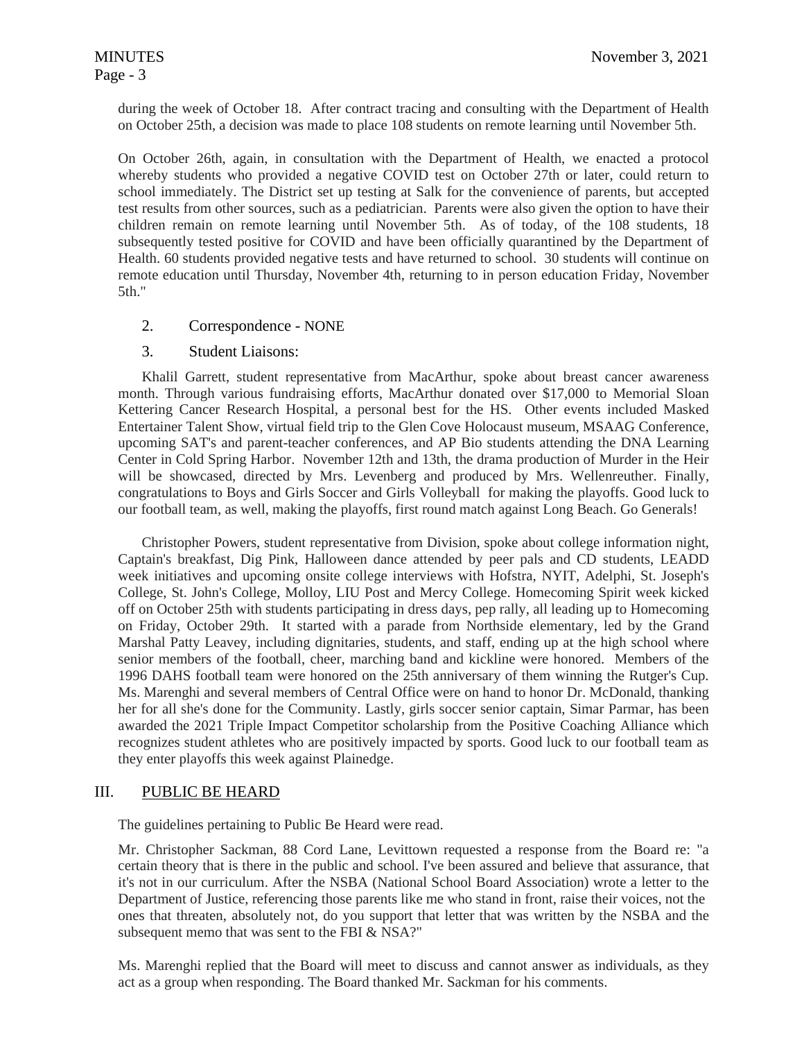during the week of October 18. After contract tracing and consulting with the Department of Health on October 25th, a decision was made to place 108 students on remote learning until November 5th.

On October 26th, again, in consultation with the Department of Health, we enacted a protocol whereby students who provided a negative COVID test on October 27th or later, could return to school immediately. The District set up testing at Salk for the convenience of parents, but accepted test results from other sources, such as a pediatrician. Parents were also given the option to have their children remain on remote learning until November 5th. As of today, of the 108 students, 18 subsequently tested positive for COVID and have been officially quarantined by the Department of Health. 60 students provided negative tests and have returned to school. 30 students will continue on remote education until Thursday, November 4th, returning to in person education Friday, November 5th."

- 2. Correspondence NONE
- 3. Student Liaisons:

Khalil Garrett, student representative from MacArthur, spoke about breast cancer awareness month. Through various fundraising efforts, MacArthur donated over \$17,000 to Memorial Sloan Kettering Cancer Research Hospital, a personal best for the HS. Other events included Masked Entertainer Talent Show, virtual field trip to the Glen Cove Holocaust museum, MSAAG Conference, upcoming SAT's and parent-teacher conferences, and AP Bio students attending the DNA Learning Center in Cold Spring Harbor. November 12th and 13th, the drama production of Murder in the Heir will be showcased, directed by Mrs. Levenberg and produced by Mrs. Wellenreuther. Finally, congratulations to Boys and Girls Soccer and Girls Volleyball for making the playoffs. Good luck to our football team, as well, making the playoffs, first round match against Long Beach. Go Generals!

Christopher Powers, student representative from Division, spoke about college information night, Captain's breakfast, Dig Pink, Halloween dance attended by peer pals and CD students, LEADD week initiatives and upcoming onsite college interviews with Hofstra, NYIT, Adelphi, St. Joseph's College, St. John's College, Molloy, LIU Post and Mercy College. Homecoming Spirit week kicked off on October 25th with students participating in dress days, pep rally, all leading up to Homecoming on Friday, October 29th. It started with a parade from Northside elementary, led by the Grand Marshal Patty Leavey, including dignitaries, students, and staff, ending up at the high school where senior members of the football, cheer, marching band and kickline were honored. Members of the 1996 DAHS football team were honored on the 25th anniversary of them winning the Rutger's Cup. Ms. Marenghi and several members of Central Office were on hand to honor Dr. McDonald, thanking her for all she's done for the Community. Lastly, girls soccer senior captain, Simar Parmar, has been awarded the 2021 Triple Impact Competitor scholarship from the Positive Coaching Alliance which recognizes student athletes who are positively impacted by sports. Good luck to our football team as they enter playoffs this week against Plainedge.

### III. PUBLIC BE HEARD

The guidelines pertaining to Public Be Heard were read.

Mr. Christopher Sackman, 88 Cord Lane, Levittown requested a response from the Board re: "a certain theory that is there in the public and school. I've been assured and believe that assurance, that it's not in our curriculum. After the NSBA (National School Board Association) wrote a letter to the Department of Justice, referencing those parents like me who stand in front, raise their voices, not the ones that threaten, absolutely not, do you support that letter that was written by the NSBA and the subsequent memo that was sent to the FBI & NSA?"

Ms. Marenghi replied that the Board will meet to discuss and cannot answer as individuals, as they act as a group when responding. The Board thanked Mr. Sackman for his comments.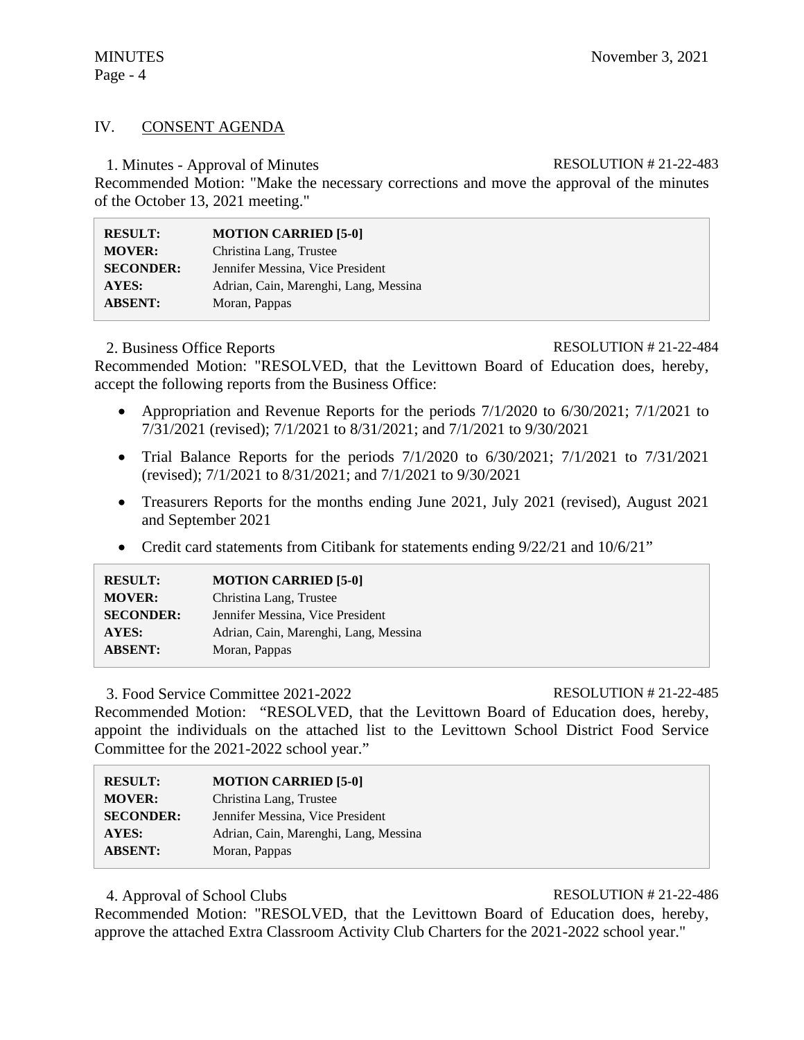# IV. CONSENT AGENDA

1. Minutes - Approval of Minutes RESOLUTION # 21-22-483

Recommended Motion: "Make the necessary corrections and move the approval of the minutes of the October 13, 2021 meeting."

| <b>RESULT:</b>   | <b>MOTION CARRIED [5-0]</b>           |
|------------------|---------------------------------------|
| <b>MOVER:</b>    | Christina Lang, Trustee               |
| <b>SECONDER:</b> | Jennifer Messina, Vice President      |
| AYES:            | Adrian, Cain, Marenghi, Lang, Messina |
| <b>ABSENT:</b>   | Moran, Pappas                         |

### 2. Business Office Reports RESOLUTION # 21-22-484

Recommended Motion: "RESOLVED, that the Levittown Board of Education does, hereby, accept the following reports from the Business Office:

- Appropriation and Revenue Reports for the periods  $7/1/2020$  to  $6/30/2021$ ;  $7/1/2021$  to 7/31/2021 (revised); 7/1/2021 to 8/31/2021; and 7/1/2021 to 9/30/2021
- Trial Balance Reports for the periods  $7/1/2020$  to  $6/30/2021$ ;  $7/1/2021$  to  $7/31/2021$ (revised); 7/1/2021 to 8/31/2021; and 7/1/2021 to 9/30/2021
- Treasurers Reports for the months ending June 2021, July 2021 (revised), August 2021 and September 2021
- Credit card statements from Citibank for statements ending  $9/22/21$  and  $10/6/21$ "

| <b>RESULT:</b>   | <b>MOTION CARRIED [5-0]</b>           |
|------------------|---------------------------------------|
| <b>MOVER:</b>    | Christina Lang, Trustee               |
| <b>SECONDER:</b> | Jennifer Messina, Vice President      |
| AYES:            | Adrian, Cain, Marenghi, Lang, Messina |
| <b>ABSENT:</b>   | Moran, Pappas                         |

3. Food Service Committee 2021-2022 RESOLUTION # 21-22-485

Recommended Motion: "RESOLVED, that the Levittown Board of Education does, hereby, appoint the individuals on the attached list to the Levittown School District Food Service Committee for the 2021-2022 school year."

| <b>RESULT:</b>   | <b>MOTION CARRIED [5-0]</b>           |
|------------------|---------------------------------------|
| <b>MOVER:</b>    | Christina Lang, Trustee               |
| <b>SECONDER:</b> | Jennifer Messina, Vice President      |
| <b>AYES:</b>     | Adrian, Cain, Marenghi, Lang, Messina |
| <b>ABSENT:</b>   | Moran, Pappas                         |

4. Approval of School Clubs RESOLUTION # 21-22-486

Recommended Motion: "RESOLVED, that the Levittown Board of Education does, hereby, approve the attached Extra Classroom Activity Club Charters for the 2021-2022 school year."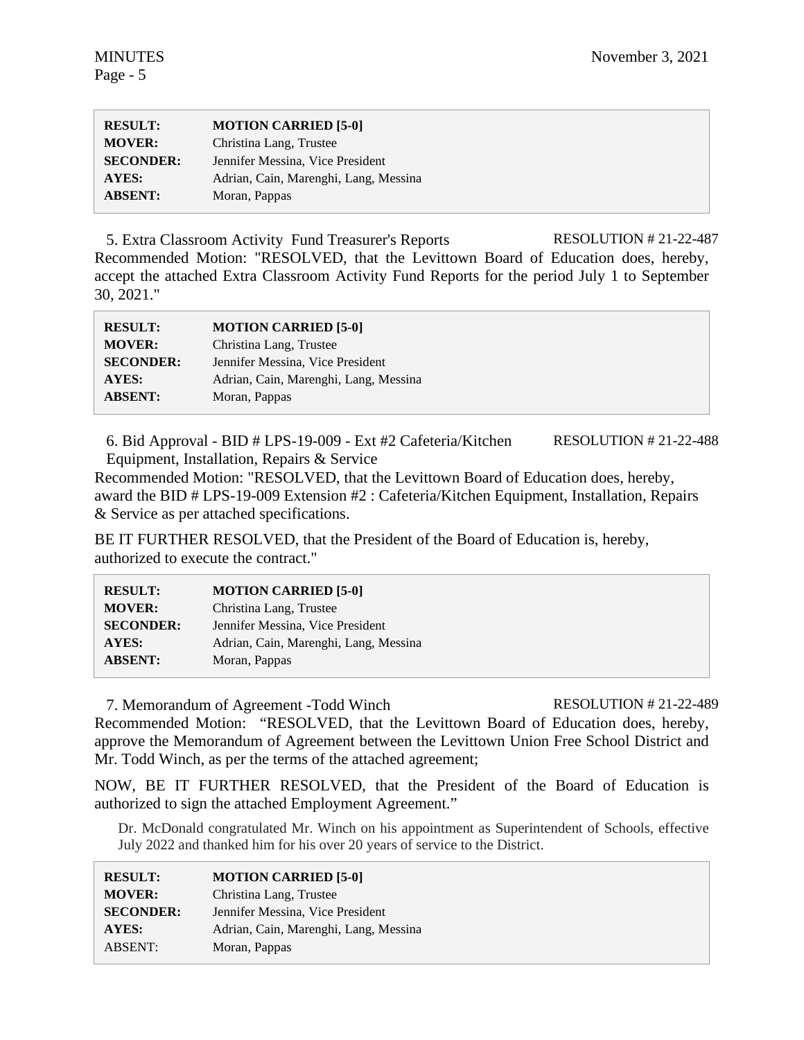| <b>RESULT:</b>   | <b>MOTION CARRIED [5-0]</b>           |
|------------------|---------------------------------------|
| <b>MOVER:</b>    | Christina Lang, Trustee               |
| <b>SECONDER:</b> | Jennifer Messina, Vice President      |
| <b>AYES:</b>     | Adrian, Cain, Marenghi, Lang, Messina |
| <b>ABSENT:</b>   | Moran, Pappas                         |

5. Extra Classroom Activity Fund Treasurer's Reports RESOLUTION # 21-22-487 Recommended Motion: "RESOLVED, that the Levittown Board of Education does, hereby, accept the attached Extra Classroom Activity Fund Reports for the period July 1 to September 30, 2021."

| <b>RESULT:</b>   | <b>MOTION CARRIED [5-0]</b>           |
|------------------|---------------------------------------|
| <b>MOVER:</b>    | Christina Lang, Trustee               |
| <b>SECONDER:</b> | Jennifer Messina, Vice President      |
| AYES:            | Adrian, Cain, Marenghi, Lang, Messina |
| <b>ABSENT:</b>   | Moran, Pappas                         |

6. Bid Approval - BID # LPS-19-009 - Ext #2 Cafeteria/Kitchen Equipment, Installation, Repairs & Service RESOLUTION # 21-22-488

Recommended Motion: "RESOLVED, that the Levittown Board of Education does, hereby, award the BID # LPS-19-009 Extension #2 : Cafeteria/Kitchen Equipment, Installation, Repairs & Service as per attached specifications.

BE IT FURTHER RESOLVED, that the President of the Board of Education is, hereby, authorized to execute the contract."

| <b>RESULT:</b>   | <b>MOTION CARRIED [5-0]</b>           |
|------------------|---------------------------------------|
| <b>MOVER:</b>    | Christina Lang, Trustee               |
| <b>SECONDER:</b> | Jennifer Messina, Vice President      |
| <b>AYES:</b>     | Adrian, Cain, Marenghi, Lang, Messina |
| <b>ABSENT:</b>   | Moran, Pappas                         |
|                  |                                       |

7. Memorandum of Agreement -Todd Winch RESOLUTION # 21-22-489

Recommended Motion: "RESOLVED, that the Levittown Board of Education does, hereby, approve the Memorandum of Agreement between the Levittown Union Free School District and Mr. Todd Winch, as per the terms of the attached agreement;

NOW, BE IT FURTHER RESOLVED, that the President of the Board of Education is authorized to sign the attached Employment Agreement."

Dr. McDonald congratulated Mr. Winch on his appointment as Superintendent of Schools, effective July 2022 and thanked him for his over 20 years of service to the District.

| <b>RESULT:</b>   | <b>MOTION CARRIED [5-0]</b>           |
|------------------|---------------------------------------|
| <b>MOVER:</b>    | Christina Lang, Trustee               |
| <b>SECONDER:</b> | Jennifer Messina, Vice President      |
| <b>AYES:</b>     | Adrian, Cain, Marenghi, Lang, Messina |
| <b>ABSENT:</b>   | Moran, Pappas                         |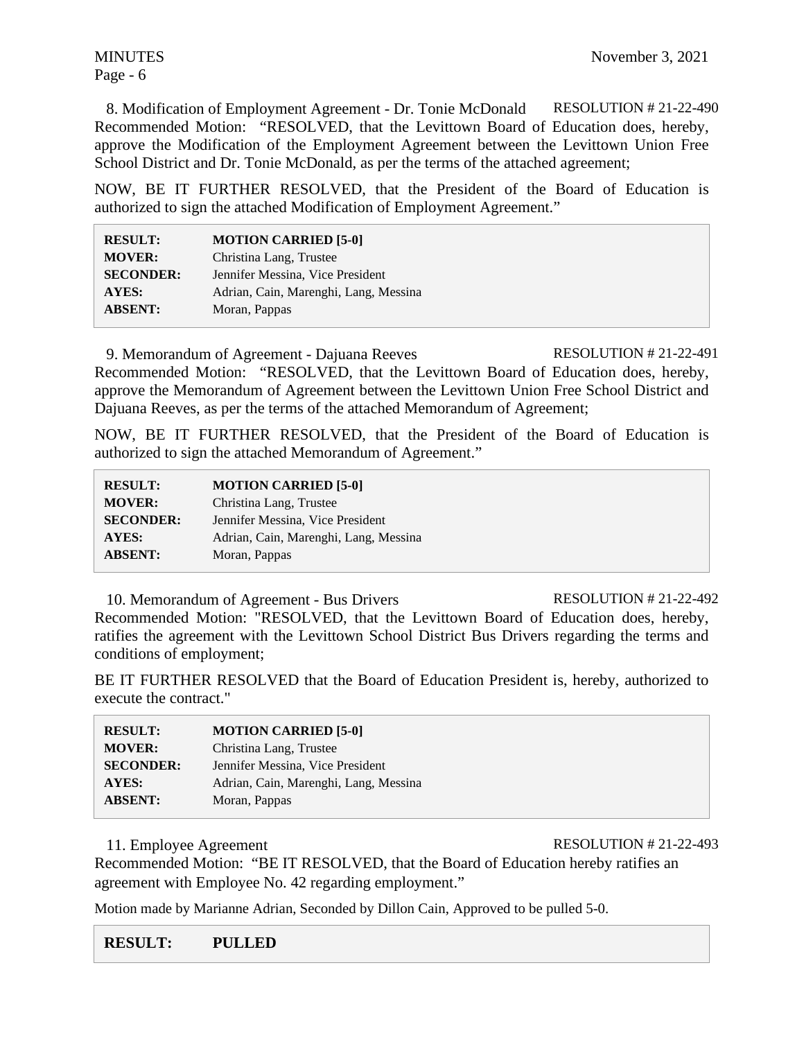8. Modification of Employment Agreement - Dr. Tonie McDonald RESOLUTION # 21-22-490 Recommended Motion: "RESOLVED, that the Levittown Board of Education does, hereby, approve the Modification of the Employment Agreement between the Levittown Union Free School District and Dr. Tonie McDonald, as per the terms of the attached agreement;

NOW, BE IT FURTHER RESOLVED, that the President of the Board of Education is authorized to sign the attached Modification of Employment Agreement."

| <b>RESULT:</b>   | <b>MOTION CARRIED [5-0]</b>           |
|------------------|---------------------------------------|
| <b>MOVER:</b>    | Christina Lang, Trustee               |
| <b>SECONDER:</b> | Jennifer Messina, Vice President      |
| AYES:            | Adrian, Cain, Marenghi, Lang, Messina |
| <b>ABSENT:</b>   | Moran, Pappas                         |

9. Memorandum of Agreement - Dajuana Reeves RESOLUTION # 21-22-491 Recommended Motion: "RESOLVED, that the Levittown Board of Education does, hereby, approve the Memorandum of Agreement between the Levittown Union Free School District and Dajuana Reeves, as per the terms of the attached Memorandum of Agreement;

NOW, BE IT FURTHER RESOLVED, that the President of the Board of Education is authorized to sign the attached Memorandum of Agreement."

| <b>RESULT:</b>   | <b>MOTION CARRIED [5-0]</b>           |
|------------------|---------------------------------------|
| <b>MOVER:</b>    | Christina Lang, Trustee               |
| <b>SECONDER:</b> | Jennifer Messina, Vice President      |
| <b>AYES:</b>     | Adrian, Cain, Marenghi, Lang, Messina |
| <b>ABSENT:</b>   | Moran, Pappas                         |

10. Memorandum of Agreement - Bus Drivers RESOLUTION # 21-22-492

Recommended Motion: "RESOLVED, that the Levittown Board of Education does, hereby, ratifies the agreement with the Levittown School District Bus Drivers regarding the terms and conditions of employment;

BE IT FURTHER RESOLVED that the Board of Education President is, hereby, authorized to execute the contract."

| <b>RESULT:</b>   | <b>MOTION CARRIED [5-0]</b>           |
|------------------|---------------------------------------|
| <b>MOVER:</b>    | Christina Lang, Trustee               |
| <b>SECONDER:</b> | Jennifer Messina, Vice President      |
| AYES:            | Adrian, Cain, Marenghi, Lang, Messina |
| <b>ABSENT:</b>   | Moran, Pappas                         |

11. Employee Agreement RESOLUTION # 21-22-493

Recommended Motion: "BE IT RESOLVED, that the Board of Education hereby ratifies an agreement with Employee No. 42 regarding employment."

Motion made by Marianne Adrian, Seconded by Dillon Cain, Approved to be pulled 5-0.

**RESULT: PULLED**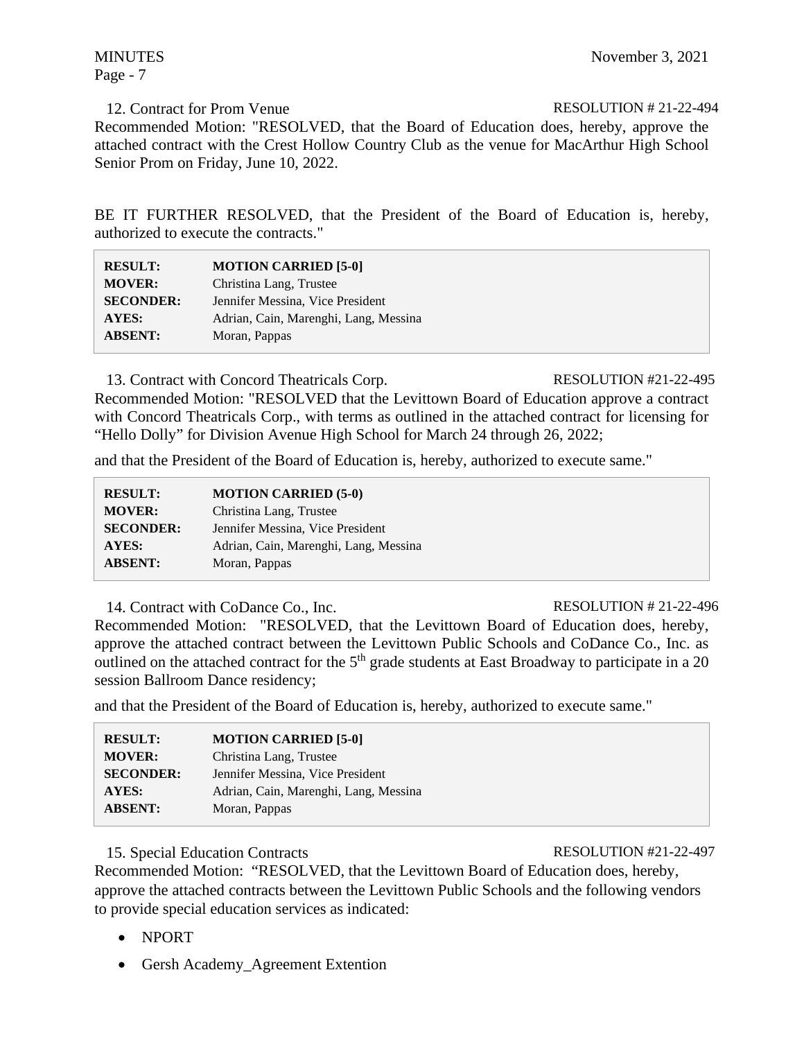12. Contract for Prom Venue RESOLUTION # 21-22-494 Recommended Motion: "RESOLVED, that the Board of Education does, hereby, approve the attached contract with the Crest Hollow Country Club as the venue for MacArthur High School Senior Prom on Friday, June 10, 2022.

BE IT FURTHER RESOLVED, that the President of the Board of Education is, hereby, authorized to execute the contracts."

| <b>RESULT:</b>   | <b>MOTION CARRIED [5-0]</b>           |
|------------------|---------------------------------------|
| <b>MOVER:</b>    | Christina Lang, Trustee               |
| <b>SECONDER:</b> | Jennifer Messina, Vice President      |
| AYES:            | Adrian, Cain, Marenghi, Lang, Messina |
| <b>ABSENT:</b>   | Moran, Pappas                         |

13. Contract with Concord Theatricals Corp. RESOLUTION #21-22-495

Recommended Motion: "RESOLVED that the Levittown Board of Education approve a contract with Concord Theatricals Corp., with terms as outlined in the attached contract for licensing for "Hello Dolly" for Division Avenue High School for March 24 through 26, 2022;

and that the President of the Board of Education is, hereby, authorized to execute same."

| <b>RESULT:</b>   | <b>MOTION CARRIED (5-0)</b>           |
|------------------|---------------------------------------|
| <b>MOVER:</b>    | Christina Lang, Trustee               |
| <b>SECONDER:</b> | Jennifer Messina, Vice President      |
| AYES:            | Adrian, Cain, Marenghi, Lang, Messina |
| <b>ABSENT:</b>   | Moran, Pappas                         |

14. Contract with CoDance Co., Inc. RESOLUTION # 21-22-496

Recommended Motion: "RESOLVED, that the Levittown Board of Education does, hereby, approve the attached contract between the Levittown Public Schools and CoDance Co., Inc. as outlined on the attached contract for the  $5<sup>th</sup>$  grade students at East Broadway to participate in a 20 session Ballroom Dance residency;

and that the President of the Board of Education is, hereby, authorized to execute same."

| <b>RESULT:</b>   | <b>MOTION CARRIED [5-0]</b>           |
|------------------|---------------------------------------|
| <b>MOVER:</b>    | Christina Lang, Trustee               |
| <b>SECONDER:</b> | Jennifer Messina, Vice President      |
| AYES:            | Adrian, Cain, Marenghi, Lang, Messina |
| <b>ABSENT:</b>   | Moran, Pappas                         |

# 15. Special Education Contracts RESOLUTION #21-22-497

Recommended Motion: "RESOLVED, that the Levittown Board of Education does, hereby, approve the attached contracts between the Levittown Public Schools and the following vendors to provide special education services as indicated:

- NPORT
- Gersh Academy\_Agreement Extention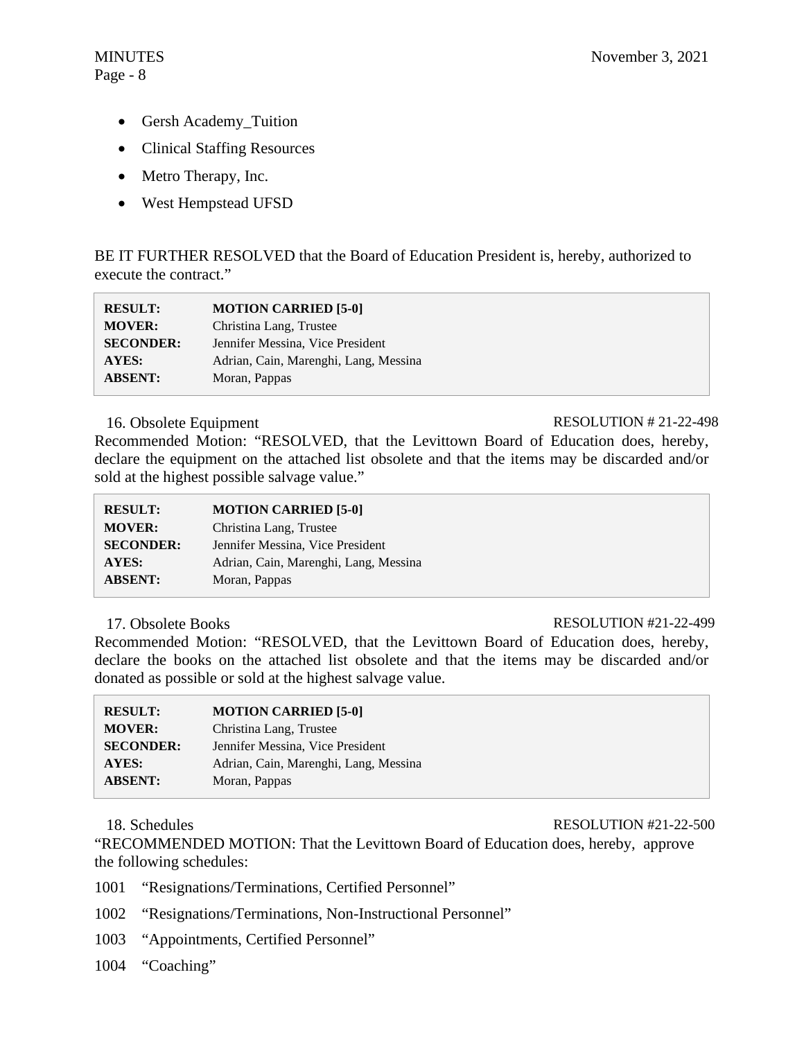# Page - 8

- Gersh Academy\_Tuition
- Clinical Staffing Resources
- Metro Therapy, Inc.
- West Hempstead UFSD

BE IT FURTHER RESOLVED that the Board of Education President is, hereby, authorized to execute the contract."

| <b>RESULT:</b>   | <b>MOTION CARRIED [5-0]</b>           |
|------------------|---------------------------------------|
| <b>MOVER:</b>    | Christina Lang, Trustee               |
| <b>SECONDER:</b> | Jennifer Messina, Vice President      |
| <b>AYES:</b>     | Adrian, Cain, Marenghi, Lang, Messina |
| <b>ABSENT:</b>   | Moran, Pappas                         |

### 16. Obsolete Equipment RESOLUTION # 21-22-498

Recommended Motion: "RESOLVED, that the Levittown Board of Education does, hereby, declare the equipment on the attached list obsolete and that the items may be discarded and/or sold at the highest possible salvage value."

| <b>RESULT:</b>   | <b>MOTION CARRIED [5-0]</b>           |
|------------------|---------------------------------------|
| <b>MOVER:</b>    | Christina Lang, Trustee               |
| <b>SECONDER:</b> | Jennifer Messina, Vice President      |
| AYES:            | Adrian, Cain, Marenghi, Lang, Messina |
| <b>ABSENT:</b>   | Moran, Pappas                         |

#### 17. Obsolete Books RESOLUTION #21-22-499

Recommended Motion: "RESOLVED, that the Levittown Board of Education does, hereby, declare the books on the attached list obsolete and that the items may be discarded and/or donated as possible or sold at the highest salvage value.

| <b>RESULT:</b>   | <b>MOTION CARRIED [5-0]</b>           |
|------------------|---------------------------------------|
| <b>MOVER:</b>    | Christina Lang, Trustee               |
| <b>SECONDER:</b> | Jennifer Messina, Vice President      |
| <b>AYES:</b>     | Adrian, Cain, Marenghi, Lang, Messina |
| <b>ABSENT:</b>   | Moran, Pappas                         |
|                  |                                       |

#### 18. Schedules RESOLUTION #21-22-500

"RECOMMENDED MOTION: That the Levittown Board of Education does, hereby, approve the following schedules:

- 1001 "Resignations/Terminations, Certified Personnel"
- 1002 "Resignations/Terminations, Non-Instructional Personnel"
- 1003 "Appointments, Certified Personnel"
- 1004 "Coaching"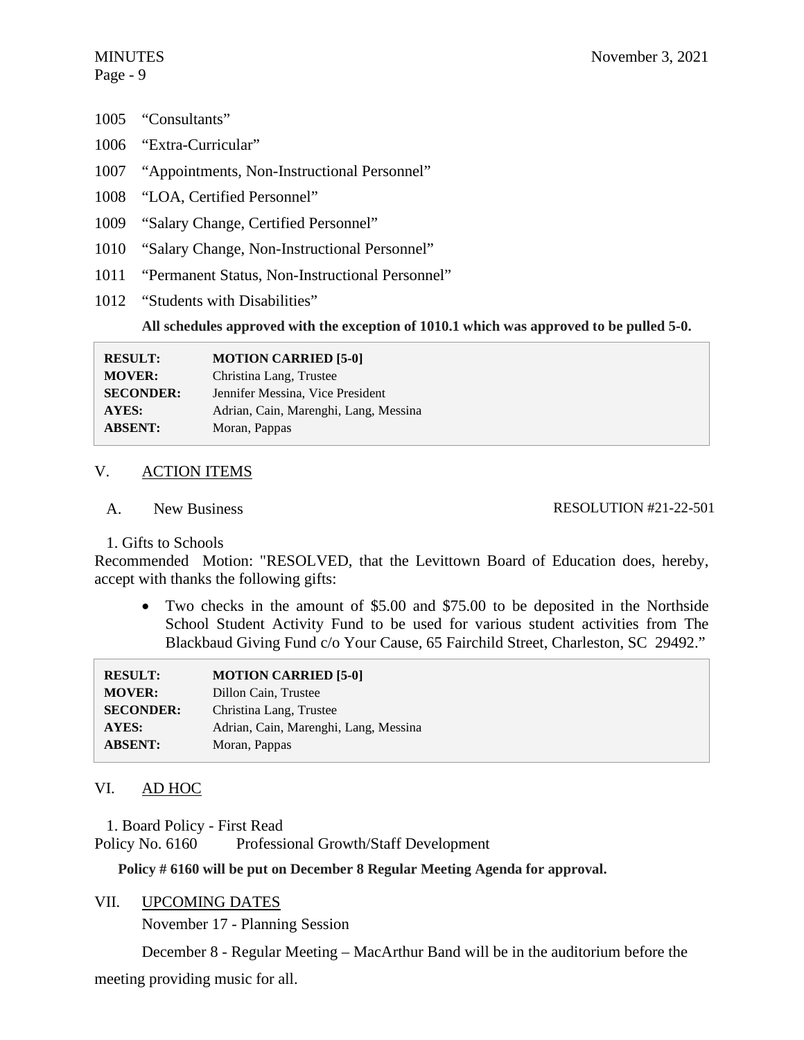- 1005 "Consultants"
- 1006 "Extra-Curricular"
- 1007 "Appointments, Non-Instructional Personnel"
- 1008 "LOA, Certified Personnel"
- 1009 "Salary Change, Certified Personnel"
- 1010 "Salary Change, Non-Instructional Personnel"
- 1011 "Permanent Status, Non-Instructional Personnel"
- 1012 "Students with Disabilities"

#### **All schedules approved with the exception of 1010.1 which was approved to be pulled 5-0.**

| <b>RESULT:</b>   | <b>MOTION CARRIED [5-0]</b>           |
|------------------|---------------------------------------|
| <b>MOVER:</b>    | Christina Lang, Trustee               |
| <b>SECONDER:</b> | Jennifer Messina, Vice President      |
| <b>AYES:</b>     | Adrian, Cain, Marenghi, Lang, Messina |
| <b>ABSENT:</b>   | Moran, Pappas                         |

#### V. ACTION ITEMS

A. New Business

RESOLUTION #21-22-501

### 1. Gifts to Schools

Recommended Motion: "RESOLVED, that the Levittown Board of Education does, hereby, accept with thanks the following gifts:

• Two checks in the amount of \$5.00 and \$75.00 to be deposited in the Northside School Student Activity Fund to be used for various student activities from The Blackbaud Giving Fund c/o Your Cause, 65 Fairchild Street, Charleston, SC 29492."

| <b>RESULT:</b>   | <b>MOTION CARRIED [5-0]</b>           |
|------------------|---------------------------------------|
| <b>MOVER:</b>    | Dillon Cain, Trustee                  |
| <b>SECONDER:</b> | Christina Lang, Trustee               |
| AYES:            | Adrian, Cain, Marenghi, Lang, Messina |
| <b>ABSENT:</b>   | Moran, Pappas                         |

# VI. AD HOC

1. Board Policy - First Read Policy No. 6160 Professional Growth/Staff Development

**Policy # 6160 will be put on December 8 Regular Meeting Agenda for approval.**

VII. UPCOMING DATES

November 17 - Planning Session

December 8 - Regular Meeting – MacArthur Band will be in the auditorium before the meeting providing music for all.